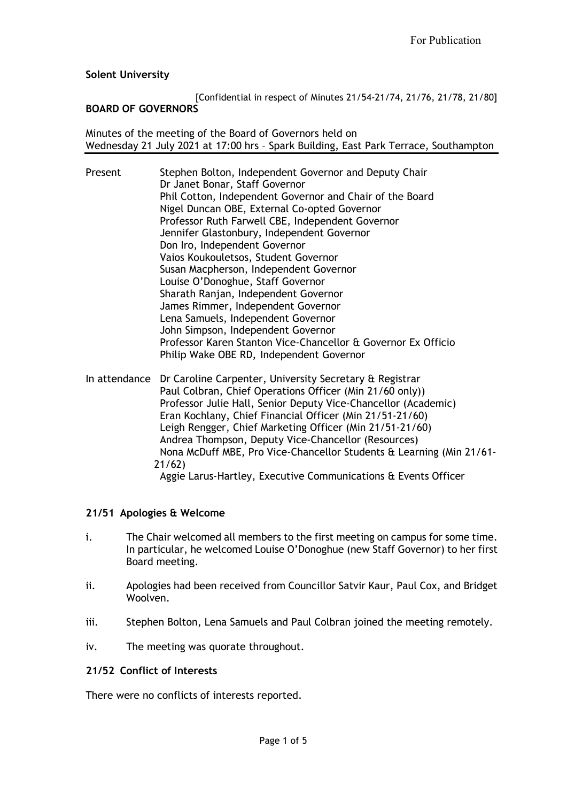**Solent University**

#### [Confidential in respect of Minutes 21/54-21/74, 21/76, 21/78, 21/80] **BOARD OF GOVERNORS**

Minutes of the meeting of the Board of Governors held on Wednesday 21 July 2021 at 17:00 hrs – Spark Building, East Park Terrace, Southampton

| Present | Stephen Bolton, Independent Governor and Deputy Chair         |
|---------|---------------------------------------------------------------|
|         | Dr Janet Bonar, Staff Governor                                |
|         | Phil Cotton, Independent Governor and Chair of the Board      |
|         | Nigel Duncan OBE, External Co-opted Governor                  |
|         | Professor Ruth Farwell CBE, Independent Governor              |
|         | Jennifer Glastonbury, Independent Governor                    |
|         | Don Iro, Independent Governor                                 |
|         | Vaios Koukouletsos, Student Governor                          |
|         | Susan Macpherson, Independent Governor                        |
|         | Louise O'Donoghue, Staff Governor                             |
|         | Sharath Ranjan, Independent Governor                          |
|         | James Rimmer, Independent Governor                            |
|         | Lena Samuels, Independent Governor                            |
|         | John Simpson, Independent Governor                            |
|         | Professor Karen Stanton Vice-Chancellor & Governor Ex Officio |
|         | Philip Wake OBE RD, Independent Governor                      |
|         |                                                               |

In attendance Dr Caroline Carpenter, University Secretary & Registrar Paul Colbran, Chief Operations Officer (Min 21/60 only)) Professor Julie Hall, Senior Deputy Vice-Chancellor (Academic) Eran Kochlany, Chief Financial Officer (Min 21/51-21/60) Leigh Rengger, Chief Marketing Officer (Min 21/51-21/60) Andrea Thompson, Deputy Vice-Chancellor (Resources) Nona McDuff MBE, Pro Vice-Chancellor Students & Learning (Min 21/61- 21/62) Aggie Larus-Hartley, Executive Communications & Events Officer

# **21/51 Apologies & Welcome**

- i. The Chair welcomed all members to the first meeting on campus for some time. In particular, he welcomed Louise O'Donoghue (new Staff Governor) to her first Board meeting.
- ii. Apologies had been received from Councillor Satvir Kaur, Paul Cox, and Bridget Woolven.
- iii. Stephen Bolton, Lena Samuels and Paul Colbran joined the meeting remotely.
- iv. The meeting was quorate throughout.

### **21/52 Conflict of Interests**

There were no conflicts of interests reported.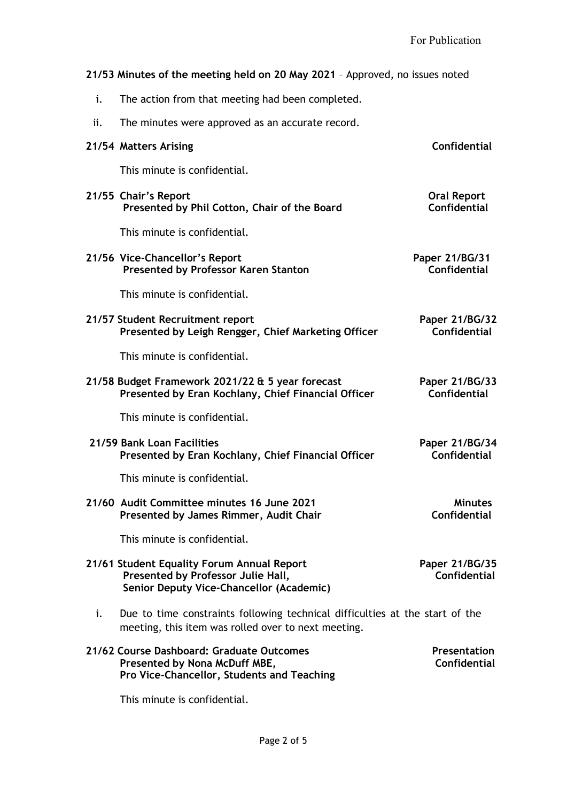# **21/53 Minutes of the meeting held on 20 May 2021** – Approved, no issues noted

- i. The action from that meeting had been completed.
- ii. The minutes were approved as an accurate record.

|    | 21/54 Matters Arising                                                                                                               | <b>Confidential</b>                       |
|----|-------------------------------------------------------------------------------------------------------------------------------------|-------------------------------------------|
|    | This minute is confidential.                                                                                                        |                                           |
|    | 21/55 Chair's Report<br>Presented by Phil Cotton, Chair of the Board                                                                | <b>Oral Report</b><br><b>Confidential</b> |
|    | This minute is confidential.                                                                                                        |                                           |
|    | 21/56 Vice-Chancellor's Report<br><b>Presented by Professor Karen Stanton</b>                                                       | Paper 21/BG/31<br>Confidential            |
|    | This minute is confidential.                                                                                                        |                                           |
|    | 21/57 Student Recruitment report<br>Presented by Leigh Rengger, Chief Marketing Officer                                             | Paper 21/BG/32<br><b>Confidential</b>     |
|    | This minute is confidential.                                                                                                        |                                           |
|    | 21/58 Budget Framework 2021/22 & 5 year forecast<br>Presented by Eran Kochlany, Chief Financial Officer                             | Paper 21/BG/33<br>Confidential            |
|    | This minute is confidential.                                                                                                        |                                           |
|    | 21/59 Bank Loan Facilities<br>Presented by Eran Kochlany, Chief Financial Officer                                                   | Paper 21/BG/34<br><b>Confidential</b>     |
|    | This minute is confidential.                                                                                                        |                                           |
|    | 21/60 Audit Committee minutes 16 June 2021<br>Presented by James Rimmer, Audit Chair                                                | <b>Minutes</b><br><b>Confidential</b>     |
|    | This minute is confidential.                                                                                                        |                                           |
|    | 21/61 Student Equality Forum Annual Report<br>Presented by Professor Julie Hall,<br>Senior Deputy Vice-Chancellor (Academic)        | Paper 21/BG/35<br><b>Confidential</b>     |
| i. | Due to time constraints following technical difficulties at the start of the<br>meeting, this item was rolled over to next meeting. |                                           |
|    | 21/62 Course Dashboard: Graduate Outcomes<br>Presented by Nona McDuff MBE,<br>Pro Vice-Chancellor, Students and Teaching            | <b>Presentation</b><br>Confidential       |
|    | This minute is confidential.                                                                                                        |                                           |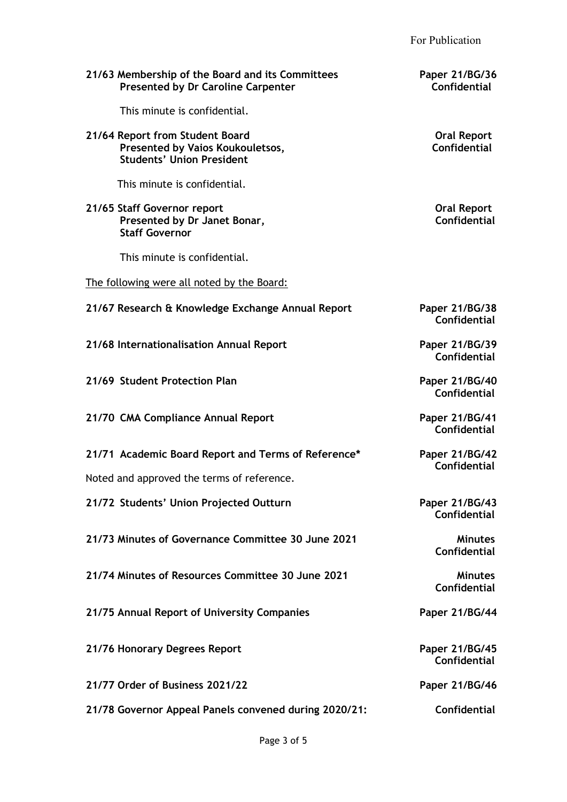For Publication

| 21/63 Membership of the Board and its Committees<br><b>Presented by Dr Caroline Carpenter</b>           | Paper 21/BG/36<br><b>Confidential</b>     |
|---------------------------------------------------------------------------------------------------------|-------------------------------------------|
| This minute is confidential.                                                                            |                                           |
| 21/64 Report from Student Board<br>Presented by Vaios Koukouletsos,<br><b>Students' Union President</b> | <b>Oral Report</b><br>Confidential        |
| This minute is confidential.                                                                            |                                           |
| 21/65 Staff Governor report<br>Presented by Dr Janet Bonar,<br><b>Staff Governor</b>                    | <b>Oral Report</b><br><b>Confidential</b> |
| This minute is confidential.                                                                            |                                           |
| The following were all noted by the Board:                                                              |                                           |
| 21/67 Research & Knowledge Exchange Annual Report                                                       | Paper 21/BG/38<br>Confidential            |
| 21/68 Internationalisation Annual Report                                                                | Paper 21/BG/39<br>Confidential            |
| 21/69 Student Protection Plan                                                                           | Paper 21/BG/40<br><b>Confidential</b>     |
| 21/70 CMA Compliance Annual Report                                                                      | Paper 21/BG/41<br><b>Confidential</b>     |
| 21/71 Academic Board Report and Terms of Reference*                                                     | Paper 21/BG/42<br><b>Confidential</b>     |
| Noted and approved the terms of reference.                                                              |                                           |
| 21/72 Students' Union Projected Outturn                                                                 | Paper 21/BG/43<br>Confidential            |
| 21/73 Minutes of Governance Committee 30 June 2021                                                      | <b>Minutes</b><br>Confidential            |
| 21/74 Minutes of Resources Committee 30 June 2021                                                       | <b>Minutes</b><br>Confidential            |
| 21/75 Annual Report of University Companies                                                             | Paper 21/BG/44                            |
| 21/76 Honorary Degrees Report                                                                           | Paper 21/BG/45<br>Confidential            |
| 21/77 Order of Business 2021/22                                                                         | Paper 21/BG/46                            |
| 21/78 Governor Appeal Panels convened during 2020/21:                                                   | <b>Confidential</b>                       |
|                                                                                                         |                                           |